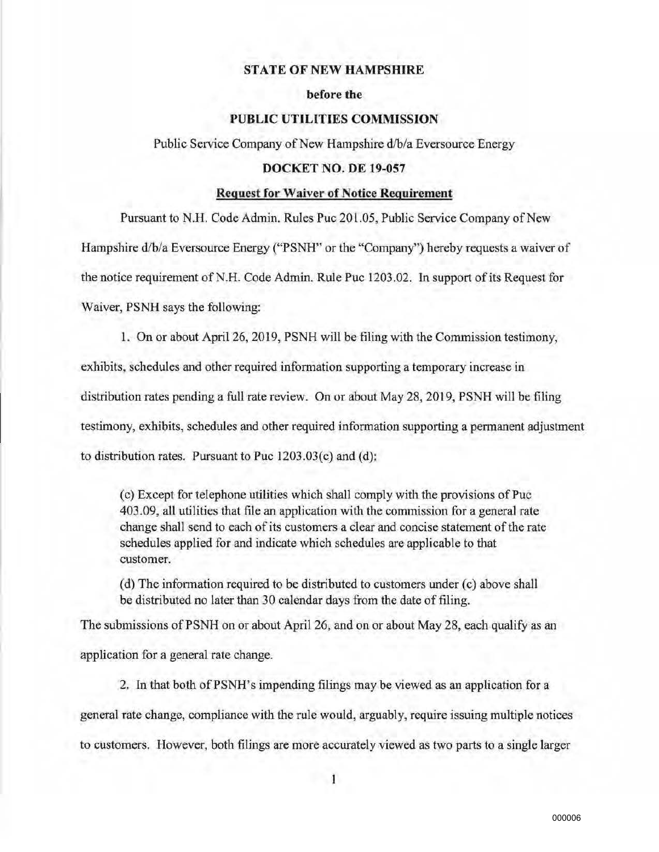## **STATE OF NEW HAMPSHIRE**

#### **before** the

## **PUBLIC UTILITIES COMMISSION**

Public Service Company of New Hampshire d/b/a Eversource Energy

### **DOCKET NO. DE 19-057**

#### **Request for Waiver of Notice Requirement**

Pursuant to N.H. Code Admin. Rules Puc 201.05, Public Service Company of New

Hampshire d/b/a Eversource Energy ("PSNH" or the "Company'') hereby requests a waiver of

the notice requirement of N.H. Code Adrnin. Rule Puc 1203.02. In support of its Request for

Waiver, PSNH says the following:

1. On or about April 26, 2019, PSNH will be filing with the Commission testimony, exhibits, schedules and other required information supporting a temporary increase in distribution rates pending a full rate review. On or about May 28, 2019, PSNH will be filing testimony, exhibits, schedules and other required infonnation supporting a permanent adjustment to distribution rates. Pursuant to Puc 1203.03(c) and (d);

(c) Except for telephone utilitjes which shall comply with the provisions of Puc 403.09, all utilities that file an application with the commission for a general rate change shall send to each of its customers a clear and concise statement of the rate schedules applied for and indicate which schedules are applicable to that customer.

(d) The information required to be distributed to customers under (c) above shall be distributed no later than 30 calendar days from the date of filing.

The submissions of PSNH on or about April 26, and on or about May 28, each qualify as an application for a general rate change.

2. In that both of PSNH's impending filings may be viewed as an application for a general rate change, compliance with the rule would, arguably, require issuing multiple notices to customers. However, both filings are more accurately viewed as two parts to a single larger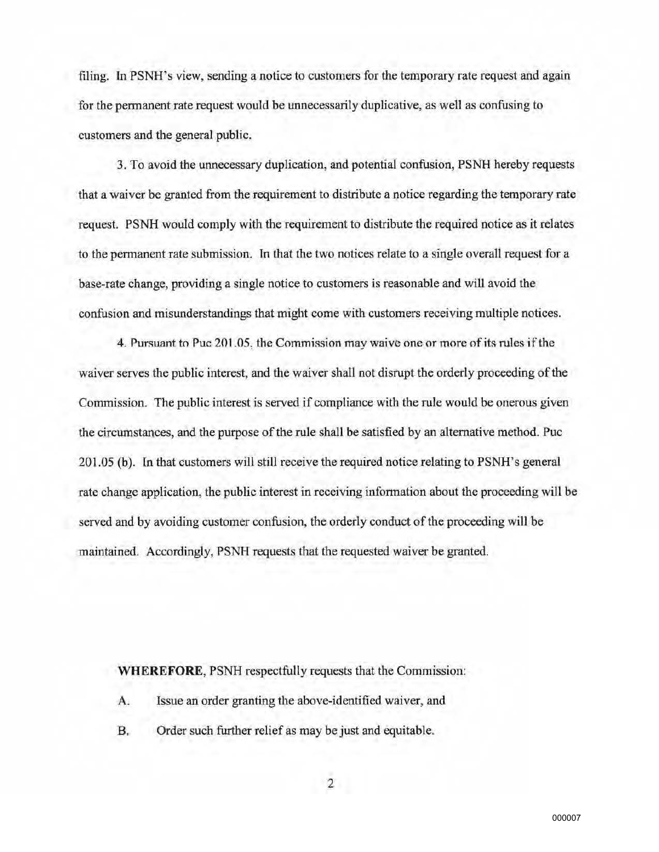filing. In PSNH's view, sending a notice to customers for the temporary rate request and again for the permanent rate request would be unnecessarily duplicative, as well as confusing to customers and the general public.

3. To avoid the unnecessary duplication, and potential confusion, PSNH hereby requests that a waiver be granted from the requirement to distribute a notice regarding the temporary rate request. PSNH would comply with the requirement to distribute the required notice as it relates to the permanent rate submission. In that the two notices relate to a single overa11 request for a base-rate change, providing a single notice to customers is reasonable and will avoid the confusion and misunderstandings that might come with customers receiving multiple notices.

4. Pursuant to Puc 201.05, the Commission may waive one or more of its rules if the waiver serves the public interest, and the waiver shall not disrupt the orderly proceeding of the Commission. The public interest is served if compliance with the rule would be onerous given the circumstances, and the purpose of the rule shall be satisfied by an alternative method. Puc 201.05 (b). In that customers will still receive the required notice relating to PSNH's general rate change application, the public interest in receiving infonnation about the proceeding will be served and by avoiding customer confusion, the orderly conduct of the proceeding wi1l be maintained. Accordingly, PSNH requests that the requested waiver be granted.

**WHEREFORE,** PSNH respectfully requests that the Commission:

- A. Issue an order granting the above~identified waiver, and
- B. Order such further relief as may be just and equitable.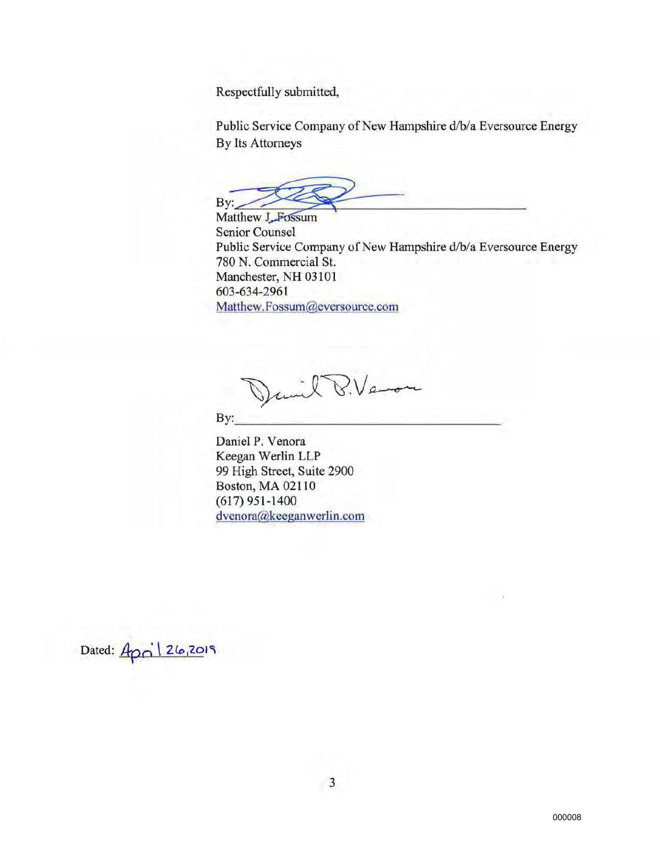Respectfully submitted,

Public Service Company of New Hampshire d/b/a Eversource Energy By Its Attorneys

**Senior Counsel** Spectfully submitted,<br>blic Service Company of New Hampshire d/b/a Eversource Energy<br>Its Attorneys<br>Extends the VI Fossum<br>initially Counsel<br>blic Service Company of New Hampshire d/b/a Eversource Energy Public Service Company of New Hampshire d/b/a Eversource Energy 780 N. Commercial St. Manchester, NH 03101 603-634-2961 Matthew.Fossum@eversource.com

 $By: \underline{\hbox{\tt\large\textsf{Div}}}\, \underline{\hbox{\tt\large\textsf{Down}}} \, \underline{\hbox{\tt\large\textsf{Down}}}$ 

Daniel P. Venora Keegan Werlin LLP 99 High Street, Suite 2900 Boston, MA 02110 (617) 951-1400 dvenora@keeganwerlin.com